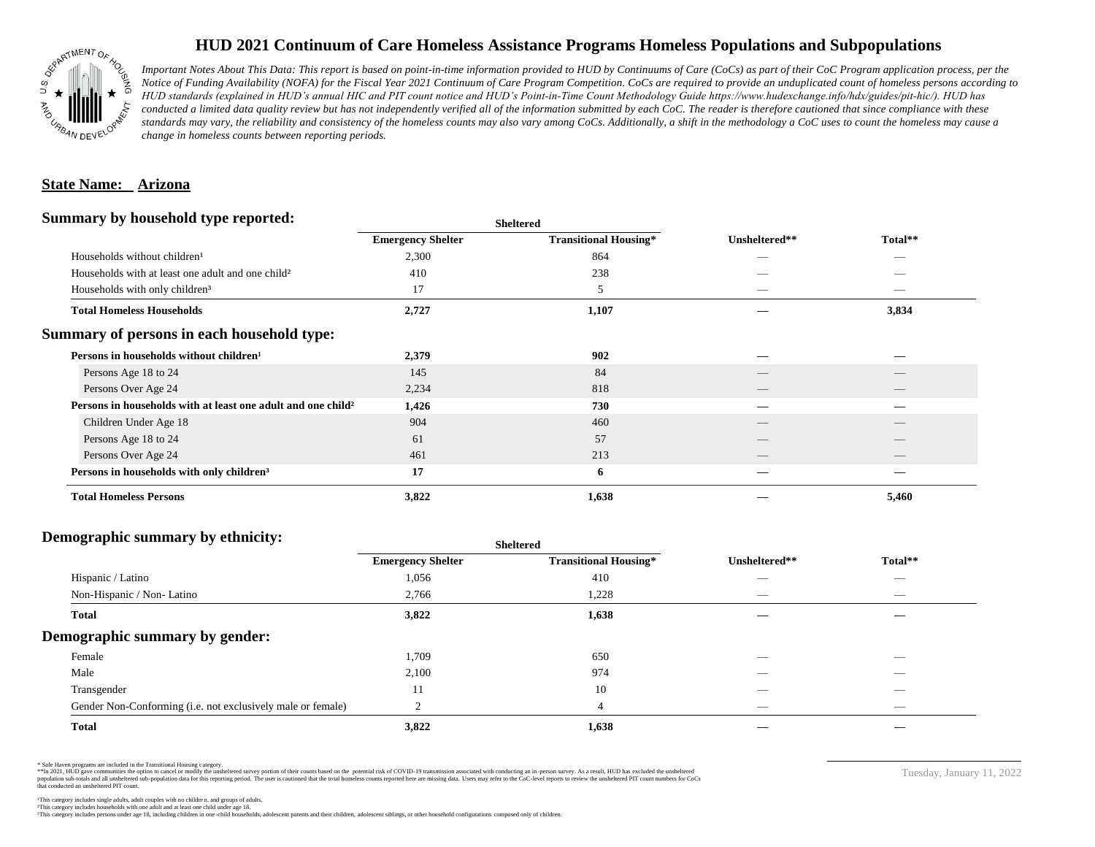

## **HUD 2021 Continuum of Care Homeless Assistance Programs Homeless Populations and Subpopulations**

*Important Notes About This Data: This report is based on point-in-time information provided to HUD by Continuums of Care (CoCs) as part of their CoC Program application process, per the Notice of Funding Availability (NOFA) for the Fiscal Year 2021 Continuum of Care Program Competition. CoCs are required to provide an unduplicated count of homeless persons according to HUD standards (explained in HUD's annual HIC and PIT count notice and HUD's Point-in-Time Count Methodology Guide https://www.hudexchange.info/hdx/guides/pit-hic/). HUD has*  conducted a limited data quality review but has not independently verified all of the information submitted by each CoC. The reader is therefore cautioned that since compliance with these standards may vary, the reliability and consistency of the homeless counts may also vary among CoCs. Additionally, a shift in the methodology a CoC uses to count the homeless may cause a *change in homeless counts between reporting periods.*

#### **State Name: Arizona**

#### **Summary by household type reported:**

| Total**<br><b>Emergency Shelter</b><br><b>Transitional Housing*</b><br>Unsheltered**<br>2,300<br>Households without children <sup>1</sup><br>864<br>_<br>Households with at least one adult and one child <sup>2</sup><br>238<br>410<br>17<br>Households with only children <sup>3</sup><br>5<br><b>Total Homeless Households</b><br>1,107<br>2,727<br>3,834<br>Persons in households without children <sup>1</sup><br>902<br>2,379<br>84<br>145<br>Persons Age 18 to 24<br>818<br>Persons Over Age 24<br>2,234<br>__<br>$-$<br>Persons in households with at least one adult and one child <sup>2</sup><br>1,426<br>730<br>Children Under Age 18<br>904<br>460<br>57<br>Persons Age 18 to 24<br>61<br>213<br>Persons Over Age 24<br>461<br>17<br>Persons in households with only children <sup>3</sup><br>6<br><b>Total Homeless Persons</b><br>3,822<br>1,638<br>5,460 |                                            | patter |  |  |
|--------------------------------------------------------------------------------------------------------------------------------------------------------------------------------------------------------------------------------------------------------------------------------------------------------------------------------------------------------------------------------------------------------------------------------------------------------------------------------------------------------------------------------------------------------------------------------------------------------------------------------------------------------------------------------------------------------------------------------------------------------------------------------------------------------------------------------------------------------------------------|--------------------------------------------|--------|--|--|
|                                                                                                                                                                                                                                                                                                                                                                                                                                                                                                                                                                                                                                                                                                                                                                                                                                                                          |                                            |        |  |  |
|                                                                                                                                                                                                                                                                                                                                                                                                                                                                                                                                                                                                                                                                                                                                                                                                                                                                          |                                            |        |  |  |
|                                                                                                                                                                                                                                                                                                                                                                                                                                                                                                                                                                                                                                                                                                                                                                                                                                                                          |                                            |        |  |  |
|                                                                                                                                                                                                                                                                                                                                                                                                                                                                                                                                                                                                                                                                                                                                                                                                                                                                          |                                            |        |  |  |
|                                                                                                                                                                                                                                                                                                                                                                                                                                                                                                                                                                                                                                                                                                                                                                                                                                                                          |                                            |        |  |  |
|                                                                                                                                                                                                                                                                                                                                                                                                                                                                                                                                                                                                                                                                                                                                                                                                                                                                          | Summary of persons in each household type: |        |  |  |
|                                                                                                                                                                                                                                                                                                                                                                                                                                                                                                                                                                                                                                                                                                                                                                                                                                                                          |                                            |        |  |  |
|                                                                                                                                                                                                                                                                                                                                                                                                                                                                                                                                                                                                                                                                                                                                                                                                                                                                          |                                            |        |  |  |
|                                                                                                                                                                                                                                                                                                                                                                                                                                                                                                                                                                                                                                                                                                                                                                                                                                                                          |                                            |        |  |  |
|                                                                                                                                                                                                                                                                                                                                                                                                                                                                                                                                                                                                                                                                                                                                                                                                                                                                          |                                            |        |  |  |
|                                                                                                                                                                                                                                                                                                                                                                                                                                                                                                                                                                                                                                                                                                                                                                                                                                                                          |                                            |        |  |  |
|                                                                                                                                                                                                                                                                                                                                                                                                                                                                                                                                                                                                                                                                                                                                                                                                                                                                          |                                            |        |  |  |
|                                                                                                                                                                                                                                                                                                                                                                                                                                                                                                                                                                                                                                                                                                                                                                                                                                                                          |                                            |        |  |  |
|                                                                                                                                                                                                                                                                                                                                                                                                                                                                                                                                                                                                                                                                                                                                                                                                                                                                          |                                            |        |  |  |
|                                                                                                                                                                                                                                                                                                                                                                                                                                                                                                                                                                                                                                                                                                                                                                                                                                                                          |                                            |        |  |  |

**Sheltered**

### **Demographic summary by ethnicity:**

|                                                             | <b>Sheltered</b>         |                              |                          |                                |  |
|-------------------------------------------------------------|--------------------------|------------------------------|--------------------------|--------------------------------|--|
|                                                             | <b>Emergency Shelter</b> | <b>Transitional Housing*</b> | Unsheltered**            | Total**                        |  |
| Hispanic / Latino                                           | 1,056                    | 410                          | __                       | $\overline{\phantom{a}}$       |  |
| Non-Hispanic / Non-Latino                                   | 2,766                    | 1,228                        |                          | $\overbrace{\hspace{25mm}}^{}$ |  |
| <b>Total</b>                                                | 3,822                    | 1,638                        |                          |                                |  |
| Demographic summary by gender:                              |                          |                              |                          |                                |  |
| Female                                                      | 1,709                    | 650                          | _                        | $\overline{\phantom{a}}$       |  |
| Male                                                        | 2,100                    | 974                          | ___                      |                                |  |
| Transgender                                                 | 11                       | 10                           |                          | $\overline{\phantom{a}}$       |  |
| Gender Non-Conforming (i.e. not exclusively male or female) | $\sim$                   | $\overline{4}$               | $\overline{\phantom{a}}$ | $\overbrace{\hspace{25mm}}^{}$ |  |
| <b>Total</b>                                                | 3,822                    | 1,638                        |                          |                                |  |

\* Safe Haven programs are included in the Transitional Housing category.

\*\*In 2021, HUD gave communities the option to cancel or modify the unsheltered survey portion of their counts based on the potential risk of COVID-19 transmission associated with conducting an in-person survey. As a result n political data for this reporting period. The user is cautioned that the total homeless counts reported here are missing data. Users may refer to the CoC-level reports to review the unshellered PIT count numbers for CoCs that conducted an unsheltered PIT count.